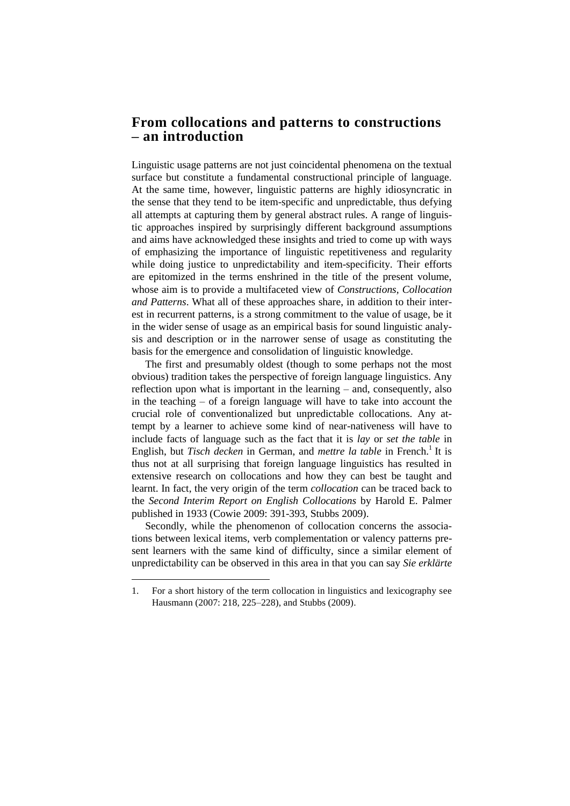# **From collocations and patterns to constructions – an introduction**

Linguistic usage patterns are not just coincidental phenomena on the textual surface but constitute a fundamental constructional principle of language. At the same time, however, linguistic patterns are highly idiosyncratic in the sense that they tend to be item-specific and unpredictable, thus defying all attempts at capturing them by general abstract rules. A range of linguistic approaches inspired by surprisingly different background assumptions and aims have acknowledged these insights and tried to come up with ways of emphasizing the importance of linguistic repetitiveness and regularity while doing justice to unpredictability and item-specificity. Their efforts are epitomized in the terms enshrined in the title of the present volume, whose aim is to provide a multifaceted view of *Constructions, Collocation and Patterns*. What all of these approaches share, in addition to their interest in recurrent patterns, is a strong commitment to the value of usage, be it in the wider sense of usage as an empirical basis for sound linguistic analysis and description or in the narrower sense of usage as constituting the basis for the emergence and consolidation of linguistic knowledge.

The first and presumably oldest (though to some perhaps not the most obvious) tradition takes the perspective of foreign language linguistics. Any reflection upon what is important in the learning – and, consequently, also in the teaching – of a foreign language will have to take into account the crucial role of conventionalized but unpredictable collocations. Any attempt by a learner to achieve some kind of near-nativeness will have to include facts of language such as the fact that it is *lay* or *set the table* in English, but *Tisch decken* in German, and *mettre la table* in French.<sup>1</sup> It is thus not at all surprising that foreign language linguistics has resulted in extensive research on collocations and how they can best be taught and learnt. In fact, the very origin of the term *collocation* can be traced back to the *Second Interim Report on English Collocations* by Harold E. Palmer published in 1933 (Cowie 2009: 391-393, Stubbs 2009).

Secondly, while the phenomenon of collocation concerns the associations between lexical items, verb complementation or valency patterns present learners with the same kind of difficulty, since a similar element of unpredictability can be observed in this area in that you can say *Sie erklärte* 

 $\overline{a}$ 

<sup>1.</sup> For a short history of the term collocation in linguistics and lexicography see Hausmann (2007: 218, 225–228), and Stubbs (2009).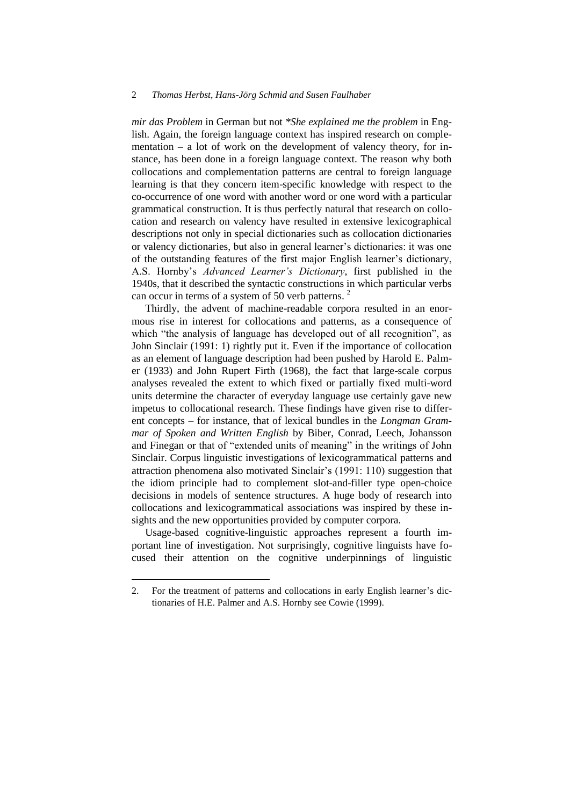### 2 *Thomas Herbst, Hans-Jörg Schmid and Susen Faulhaber*

*mir das Problem* in German but not *\*She explained me the problem* in English. Again, the foreign language context has inspired research on complementation – a lot of work on the development of valency theory, for instance, has been done in a foreign language context. The reason why both collocations and complementation patterns are central to foreign language learning is that they concern item-specific knowledge with respect to the co-occurrence of one word with another word or one word with a particular grammatical construction. It is thus perfectly natural that research on collocation and research on valency have resulted in extensive lexicographical descriptions not only in special dictionaries such as collocation dictionaries or valency dictionaries, but also in general learner's dictionaries: it was one of the outstanding features of the first major English learner's dictionary, A.S. Hornby's *Advanced Learner's Dictionary*, first published in the 1940s, that it described the syntactic constructions in which particular verbs can occur in terms of a system of 50 verb patterns.<sup>2</sup>

Thirdly, the advent of machine-readable corpora resulted in an enormous rise in interest for collocations and patterns, as a consequence of which "the analysis of language has developed out of all recognition", as John Sinclair (1991: 1) rightly put it. Even if the importance of collocation as an element of language description had been pushed by Harold E. Palmer (1933) and John Rupert Firth (1968), the fact that large-scale corpus analyses revealed the extent to which fixed or partially fixed multi-word units determine the character of everyday language use certainly gave new impetus to collocational research. These findings have given rise to different concepts – for instance, that of lexical bundles in the *Longman Grammar of Spoken and Written English* by Biber, Conrad, Leech, Johansson and Finegan or that of "extended units of meaning" in the writings of John Sinclair. Corpus linguistic investigations of lexicogrammatical patterns and attraction phenomena also motivated Sinclair's (1991: 110) suggestion that the idiom principle had to complement slot-and-filler type open-choice decisions in models of sentence structures. A huge body of research into collocations and lexicogrammatical associations was inspired by these insights and the new opportunities provided by computer corpora.

Usage-based cognitive-linguistic approaches represent a fourth important line of investigation. Not surprisingly, cognitive linguists have focused their attention on the cognitive underpinnings of linguistic

 $\overline{a}$ 

<sup>2.</sup> For the treatment of patterns and collocations in early English learner's dictionaries of H.E. Palmer and A.S. Hornby see Cowie (1999).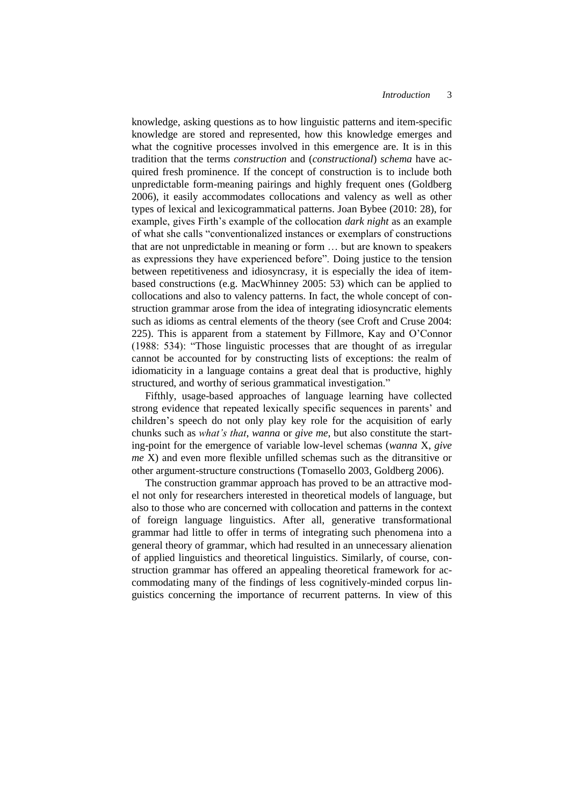knowledge, asking questions as to how linguistic patterns and item-specific knowledge are stored and represented, how this knowledge emerges and what the cognitive processes involved in this emergence are. It is in this tradition that the terms *construction* and (*constructional*) *schema* have acquired fresh prominence. If the concept of construction is to include both unpredictable form-meaning pairings and highly frequent ones (Goldberg 2006), it easily accommodates collocations and valency as well as other types of lexical and lexicogrammatical patterns. Joan Bybee (2010: 28), for example, gives Firth's example of the collocation *dark night* as an example of what she calls "conventionalized instances or exemplars of constructions that are not unpredictable in meaning or form … but are known to speakers as expressions they have experienced before". Doing justice to the tension between repetitiveness and idiosyncrasy, it is especially the idea of itembased constructions (e.g. MacWhinney 2005: 53) which can be applied to collocations and also to valency patterns. In fact, the whole concept of construction grammar arose from the idea of integrating idiosyncratic elements such as idioms as central elements of the theory (see Croft and Cruse 2004: 225). This is apparent from a statement by Fillmore, Kay and O'Connor (1988: 534): "Those linguistic processes that are thought of as irregular cannot be accounted for by constructing lists of exceptions: the realm of idiomaticity in a language contains a great deal that is productive, highly structured, and worthy of serious grammatical investigation."

Fifthly, usage-based approaches of language learning have collected strong evidence that repeated lexically specific sequences in parents' and children's speech do not only play key role for the acquisition of early chunks such as *what's that*, *wanna* or *give me*, but also constitute the starting-point for the emergence of variable low-level schemas (*wanna* X, *give me* X) and even more flexible unfilled schemas such as the ditransitive or other argument-structure constructions (Tomasello 2003, Goldberg 2006).

The construction grammar approach has proved to be an attractive model not only for researchers interested in theoretical models of language, but also to those who are concerned with collocation and patterns in the context of foreign language linguistics. After all, generative transformational grammar had little to offer in terms of integrating such phenomena into a general theory of grammar, which had resulted in an unnecessary alienation of applied linguistics and theoretical linguistics. Similarly, of course, construction grammar has offered an appealing theoretical framework for accommodating many of the findings of less cognitively-minded corpus linguistics concerning the importance of recurrent patterns. In view of this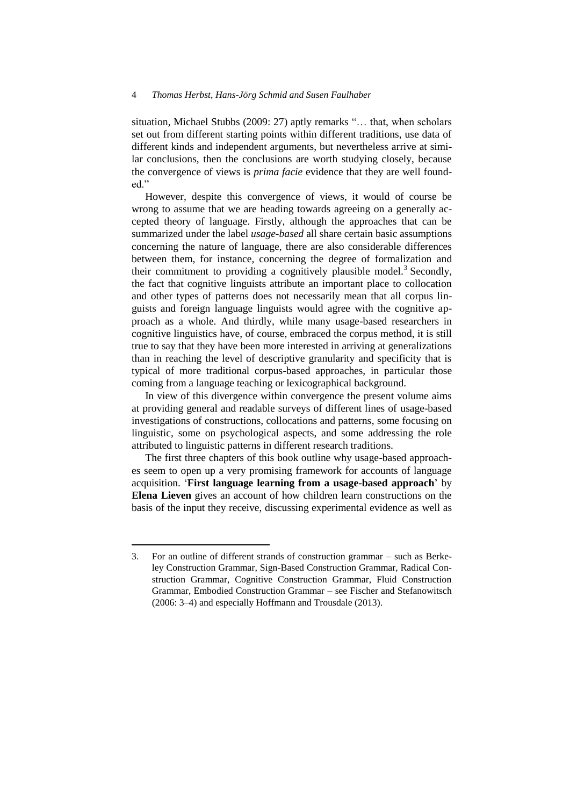### 4 *Thomas Herbst, Hans-Jörg Schmid and Susen Faulhaber*

situation, Michael Stubbs (2009: 27) aptly remarks "… that, when scholars set out from different starting points within different traditions, use data of different kinds and independent arguments, but nevertheless arrive at similar conclusions, then the conclusions are worth studying closely, because the convergence of views is *prima facie* evidence that they are well founded."

However, despite this convergence of views, it would of course be wrong to assume that we are heading towards agreeing on a generally accepted theory of language. Firstly, although the approaches that can be summarized under the label *usage-based* all share certain basic assumptions concerning the nature of language, there are also considerable differences between them, for instance, concerning the degree of formalization and their commitment to providing a cognitively plausible model.<sup>3</sup> Secondly, the fact that cognitive linguists attribute an important place to collocation and other types of patterns does not necessarily mean that all corpus linguists and foreign language linguists would agree with the cognitive approach as a whole. And thirdly, while many usage-based researchers in cognitive linguistics have, of course, embraced the corpus method, it is still true to say that they have been more interested in arriving at generalizations than in reaching the level of descriptive granularity and specificity that is typical of more traditional corpus-based approaches, in particular those coming from a language teaching or lexicographical background.

In view of this divergence within convergence the present volume aims at providing general and readable surveys of different lines of usage-based investigations of constructions, collocations and patterns, some focusing on linguistic, some on psychological aspects, and some addressing the role attributed to linguistic patterns in different research traditions.

The first three chapters of this book outline why usage-based approaches seem to open up a very promising framework for accounts of language acquisition. '**First language learning from a usage-based approach**' by **Elena Lieven** gives an account of how children learn constructions on the basis of the input they receive, discussing experimental evidence as well as

 $\overline{a}$ 

<sup>3.</sup> For an outline of different strands of construction grammar – such as Berkeley Construction Grammar, Sign-Based Construction Grammar, Radical Construction Grammar, Cognitive Construction Grammar, Fluid Construction Grammar, Embodied Construction Grammar – see Fischer and Stefanowitsch (2006: 3–4) and especially Hoffmann and Trousdale (2013).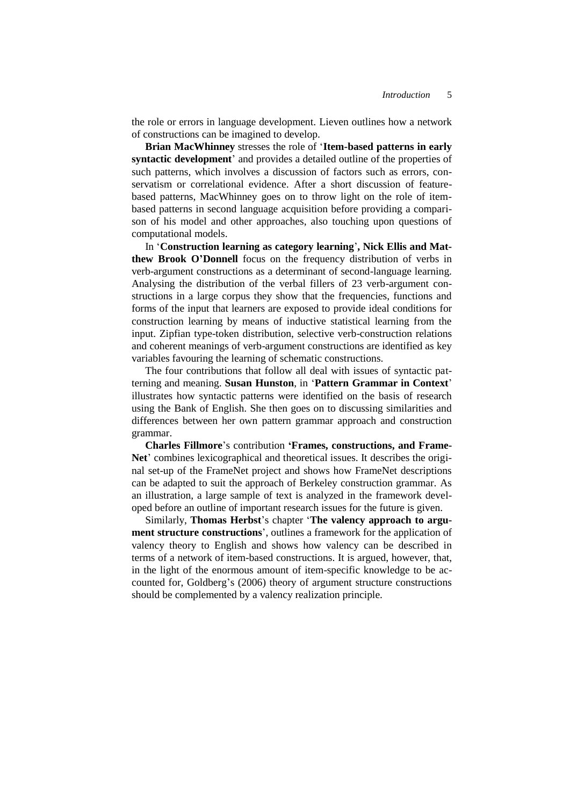the role or errors in language development. Lieven outlines how a network of constructions can be imagined to develop.

**Brian MacWhinney** stresses the role of '**Item-based patterns in early syntactic development**' and provides a detailed outline of the properties of such patterns, which involves a discussion of factors such as errors, conservatism or correlational evidence. After a short discussion of featurebased patterns, MacWhinney goes on to throw light on the role of itembased patterns in second language acquisition before providing a comparison of his model and other approaches, also touching upon questions of computational models.

In '**Construction learning as category learning**'**, Nick Ellis and Matthew Brook O'Donnell** focus on the frequency distribution of verbs in verb-argument constructions as a determinant of second-language learning. Analysing the distribution of the verbal fillers of 23 verb-argument constructions in a large corpus they show that the frequencies, functions and forms of the input that learners are exposed to provide ideal conditions for construction learning by means of inductive statistical learning from the input. Zipfian type-token distribution, selective verb-construction relations and coherent meanings of verb-argument constructions are identified as key variables favouring the learning of schematic constructions.

The four contributions that follow all deal with issues of syntactic patterning and meaning. **Susan Hunston**, in '**Pattern Grammar in Context**' illustrates how syntactic patterns were identified on the basis of research using the Bank of English. She then goes on to discussing similarities and differences between her own pattern grammar approach and construction grammar.

**Charles Fillmore**'s contribution **'Frames, constructions, and Frame-Net**' combines lexicographical and theoretical issues. It describes the original set-up of the FrameNet project and shows how FrameNet descriptions can be adapted to suit the approach of Berkeley construction grammar. As an illustration, a large sample of text is analyzed in the framework developed before an outline of important research issues for the future is given.

Similarly, **Thomas Herbst**'s chapter '**The valency approach to argument structure constructions**', outlines a framework for the application of valency theory to English and shows how valency can be described in terms of a network of item-based constructions. It is argued, however, that, in the light of the enormous amount of item-specific knowledge to be accounted for, Goldberg's (2006) theory of argument structure constructions should be complemented by a valency realization principle.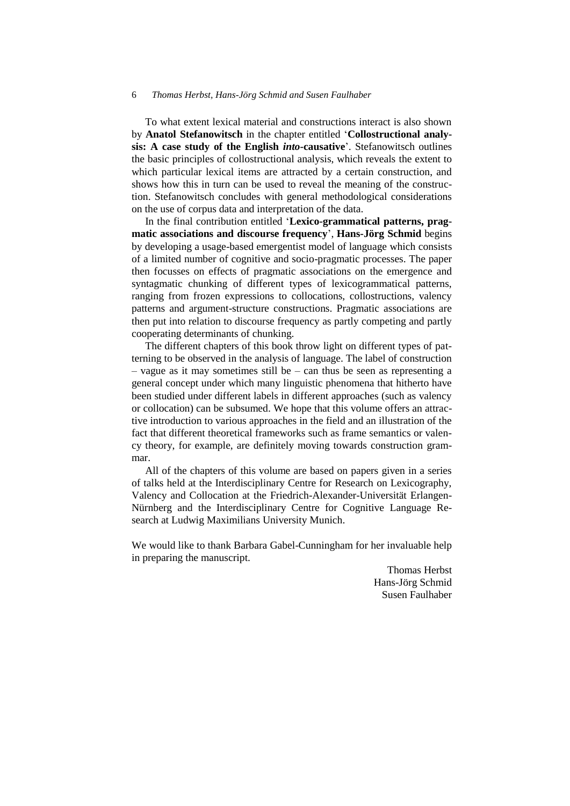### 6 *Thomas Herbst, Hans-Jörg Schmid and Susen Faulhaber*

To what extent lexical material and constructions interact is also shown by **Anatol Stefanowitsch** in the chapter entitled '**Collostructional analysis: A case study of the English** *into***-causative**'. Stefanowitsch outlines the basic principles of collostructional analysis, which reveals the extent to which particular lexical items are attracted by a certain construction, and shows how this in turn can be used to reveal the meaning of the construction. Stefanowitsch concludes with general methodological considerations on the use of corpus data and interpretation of the data.

In the final contribution entitled '**Lexico-grammatical patterns, pragmatic associations and discourse frequency**', **Hans-Jörg Schmid** begins by developing a usage-based emergentist model of language which consists of a limited number of cognitive and socio-pragmatic processes. The paper then focusses on effects of pragmatic associations on the emergence and syntagmatic chunking of different types of lexicogrammatical patterns, ranging from frozen expressions to collocations, collostructions, valency patterns and argument-structure constructions. Pragmatic associations are then put into relation to discourse frequency as partly competing and partly cooperating determinants of chunking.

The different chapters of this book throw light on different types of patterning to be observed in the analysis of language. The label of construction – vague as it may sometimes still be – can thus be seen as representing a general concept under which many linguistic phenomena that hitherto have been studied under different labels in different approaches (such as valency or collocation) can be subsumed. We hope that this volume offers an attractive introduction to various approaches in the field and an illustration of the fact that different theoretical frameworks such as frame semantics or valency theory, for example, are definitely moving towards construction grammar.

All of the chapters of this volume are based on papers given in a series of talks held at the Interdisciplinary Centre for Research on Lexicography, Valency and Collocation at the Friedrich-Alexander-Universität Erlangen-Nürnberg and the Interdisciplinary Centre for Cognitive Language Research at Ludwig Maximilians University Munich.

We would like to thank Barbara Gabel-Cunningham for her invaluable help in preparing the manuscript.

> Thomas Herbst Hans-Jörg Schmid Susen Faulhaber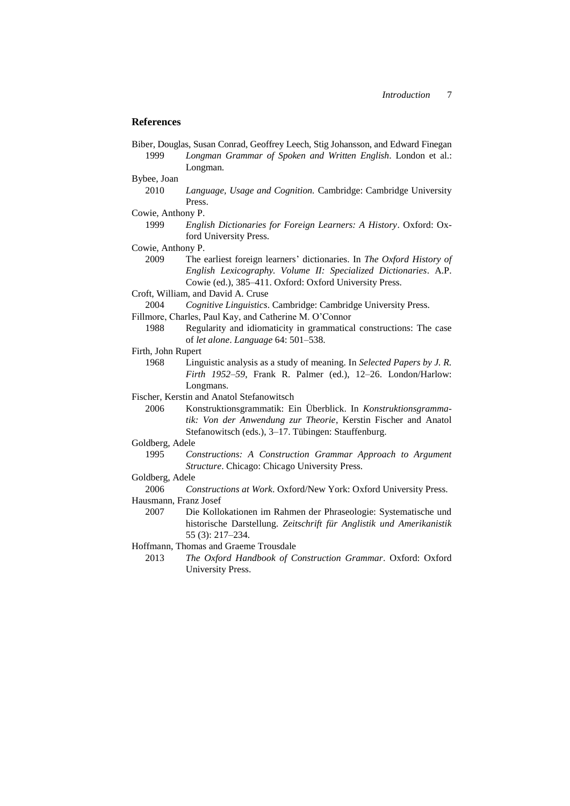## **References**

- Biber, Douglas, Susan Conrad, Geoffrey Leech, Stig Johansson, and Edward Finegan 1999 *Longman Grammar of Spoken and Written English*. London et al.: Longman.
- Bybee, Joan
	- 2010 *Language, Usage and Cognition.* Cambridge: Cambridge University Press.
- Cowie, Anthony P.
	- 1999 *English Dictionaries for Foreign Learners: A History*. Oxford: Oxford University Press.
- Cowie, Anthony P.
	- 2009 The earliest foreign learners' dictionaries. In *The Oxford History of English Lexicography. Volume II: Specialized Dictionaries*. A.P. Cowie (ed.), 385–411. Oxford: Oxford University Press.
- Croft, William, and David A. Cruse
- 2004 *Cognitive Linguistics*. Cambridge: Cambridge University Press.
- Fillmore, Charles, Paul Kay, and Catherine M. O'Connor
	- 1988 Regularity and idiomaticity in grammatical constructions: The case of *let alone*. *Language* 64: 501–538.
- Firth, John Rupert
	- 1968 Linguistic analysis as a study of meaning. In *Selected Papers by J. R. Firth 1952–59*, Frank R. Palmer (ed.), 12–26. London/Harlow: Longmans.
- Fischer, Kerstin and Anatol Stefanowitsch
	- 2006 Konstruktionsgrammatik: Ein Überblick. In *Konstruktionsgrammatik: Von der Anwendung zur Theorie*, Kerstin Fischer and Anatol Stefanowitsch (eds.), 3–17. Tübingen: Stauffenburg.

### Goldberg, Adele

1995 *Constructions: A Construction Grammar Approach to Argument Structure*. Chicago: Chicago University Press.

### Goldberg, Adele

- 2006 *Constructions at Work*. Oxford/New York: Oxford University Press.
- Hausmann, Franz Josef
	- 2007 Die Kollokationen im Rahmen der Phraseologie: Systematische und historische Darstellung. *Zeitschrift für Anglistik und Amerikanistik* 55 (3): 217–234.
- Hoffmann, Thomas and Graeme Trousdale
	- 2013 *The Oxford Handbook of Construction Grammar*. Oxford: Oxford University Press.